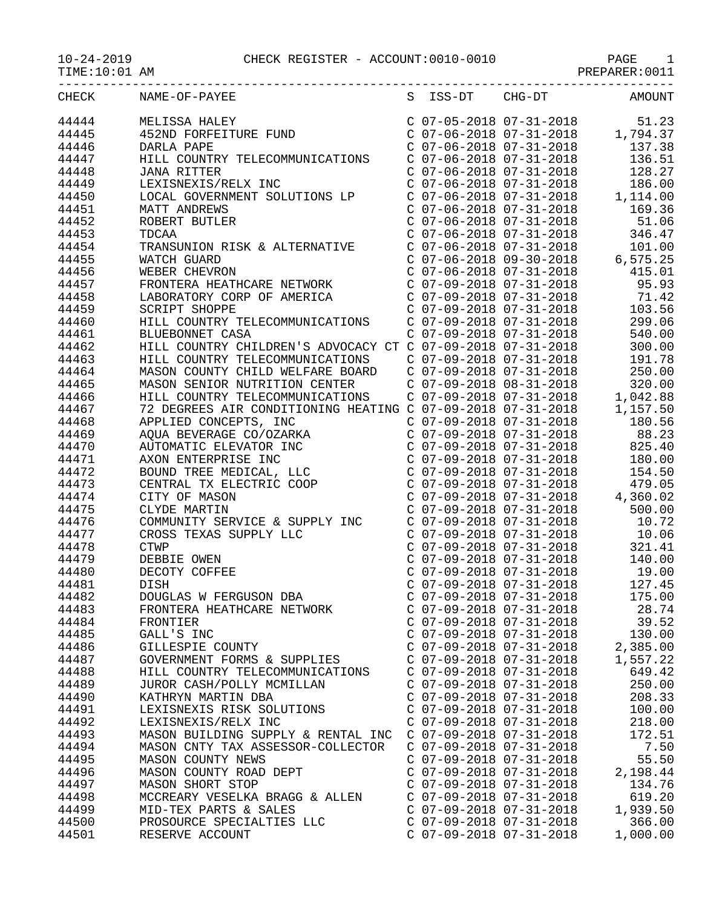| TIME:10:01 AM |                                                                                                                                                                                                             |                                                                               |                                                                                                                                                                                                         |
|---------------|-------------------------------------------------------------------------------------------------------------------------------------------------------------------------------------------------------------|-------------------------------------------------------------------------------|---------------------------------------------------------------------------------------------------------------------------------------------------------------------------------------------------------|
| CHECK         | NAME-OF-PAYEE                                                                                                                                                                                               | S ISS-DT CHG-DT                                                               | <b>AMOUNT</b>                                                                                                                                                                                           |
| 44444         | MELISSA HALEY<br>452ND FORFEITURE FUND<br>DARLA PAPE<br>MELISSA HALEY                                                                                                                                       |                                                                               | $\begin{array}{llll} \mbox{C} & 07-05-2018 & 07-31-2018 & \qquad & 51.23 \\ \mbox{C} & 07-06-2018 & 07-31-2018 & \qquad & 1,794.37 \\ \mbox{C} & 07-06-2018 & 07-31-2018 & \qquad & 137.38 \end{array}$ |
| 44445         |                                                                                                                                                                                                             |                                                                               |                                                                                                                                                                                                         |
| 44446         | DARLA PAPE                                                                                                                                                                                                  |                                                                               |                                                                                                                                                                                                         |
| 44447         | HILL COUNTRY TELECOMMUNICATIONS  C 07-06-2018 07-31-2018  136.51                                                                                                                                            |                                                                               |                                                                                                                                                                                                         |
| 44448         | <b>JANA RITTER</b>                                                                                                                                                                                          | $C$ 07-06-2018 07-31-2018                                                     | 128.27                                                                                                                                                                                                  |
| 44449         | LEXISNEXIS/RELX INC                                                                                                                                                                                         |                                                                               |                                                                                                                                                                                                         |
| 44450         | LOCAL GOVERNMENT SOLUTIONS LP                                                                                                                                                                               |                                                                               |                                                                                                                                                                                                         |
| 44451         | <b>MATT ANDREWS</b>                                                                                                                                                                                         |                                                                               | $\begin{array}{cccc} \text{C} & 07-06-2018 & 07-31-2018 & & 186.00 \\ \text{C} & 07-06-2018 & 07-31-2018 & & 1,114.00 \\ \text{C} & 07-06-2018 & 07-31-2018 & & 169.36 \end{array}$                     |
| 44452         | ROBERT BUTLER                                                                                                                                                                                               |                                                                               | $C$ 07-06-2018 07-31-2018 51.06                                                                                                                                                                         |
| 44453         | TDCAA                                                                                                                                                                                                       | C 07-06-2018 07-31-2018                                                       | 346.47                                                                                                                                                                                                  |
| 44454         | TRANSUNION RISK & ALTERNATIVE                                                                                                                                                                               |                                                                               |                                                                                                                                                                                                         |
| 44455         | WATCH GUARD                                                                                                                                                                                                 |                                                                               |                                                                                                                                                                                                         |
| 44456         | WEBER CHEVRON                                                                                                                                                                                               |                                                                               | 415.01                                                                                                                                                                                                  |
| 44457         | FRONTERA HEATHCARE NETWORK                                                                                                                                                                                  | C 07-06-2018 07-31-2018<br>C 07-09-2018 07-31-2018                            | 95.93                                                                                                                                                                                                   |
| 44458         | LABORATORY CORP OF AMERICA C 07-09-2018 07-31-2018 71.42                                                                                                                                                    |                                                                               |                                                                                                                                                                                                         |
|               |                                                                                                                                                                                                             | $C$ 07-09-2018 07-31-2018                                                     |                                                                                                                                                                                                         |
| 44459         | <b>SCRIPT SHOPPE</b>                                                                                                                                                                                        |                                                                               | 103.56                                                                                                                                                                                                  |
| 44460         | HILL COUNTRY TELECOMMUNICATIONS                                                                                                                                                                             | $C$ 07-09-2018 07-31-2018                                                     | 299.06                                                                                                                                                                                                  |
| 44461         | BLUEBONNET CASA<br>HILL COUNTRY CHILDREN'S ADVOCACY CT C 07-09-2018 07-31-2018                                                                                                                              |                                                                               | 540.00                                                                                                                                                                                                  |
| 44462         |                                                                                                                                                                                                             |                                                                               | 300.00                                                                                                                                                                                                  |
| 44463         | HILL COUNTRY TELECOMMUNICATIONS C 07-09-2018 07-31-2018                                                                                                                                                     |                                                                               | 191.78                                                                                                                                                                                                  |
| 44464         | MASON COUNTY CHILD WELFARE BOARD C 07-09-2018 07-31-2018                                                                                                                                                    |                                                                               | 250.00                                                                                                                                                                                                  |
| 44465         |                                                                                                                                                                                                             |                                                                               | 320.00                                                                                                                                                                                                  |
| 44466         | MASON SENIOR NUTRITION CENTER<br>HILL COUNTRY TELECOMMUNICATIONS<br>T2 DEGREES AIR CONDITIONING HEATING C 07-09-2018 07-31-2018<br>APPLIED CONCEPTS, INC C 07-09-2018 07-31-2018<br>C 07-09-2018 07-31-2018 |                                                                               | 1,042.88                                                                                                                                                                                                |
| 44467         |                                                                                                                                                                                                             |                                                                               | 1,157.50                                                                                                                                                                                                |
| 44468         | APPLIED CONCEPTS, INC<br>AQUA BEVERAGE CO/OZARKA                                                                                                                                                            |                                                                               | 180.56                                                                                                                                                                                                  |
| 44469         |                                                                                                                                                                                                             | $C$ 07-09-2018 07-31-2018                                                     | 88.23                                                                                                                                                                                                   |
| 44470         | AQUA BEVERAGE CO/OZARNA<br>AUTOMATIC ELEVATOR INC<br>AXON ENTERPRISE INC<br>BOUND TREE MEDICAL, LLC<br>CENTRAL TX ELECTRIC COOP<br>CITY OF MASON<br>CLYDE MARTIN                                            | C 07-09-2018 07-31-2018                                                       | 825.40                                                                                                                                                                                                  |
| 44471         |                                                                                                                                                                                                             | $C$ 07-09-2018 07-31-2018                                                     | 180.00                                                                                                                                                                                                  |
| 44472         |                                                                                                                                                                                                             | C 07-09-2018 07-31-2018<br>C 07-09-2018 07-31-2018                            | 154.50                                                                                                                                                                                                  |
| 44473         |                                                                                                                                                                                                             |                                                                               | 479.05                                                                                                                                                                                                  |
| 44474         |                                                                                                                                                                                                             |                                                                               | $C$ 07-09-2018 07-31-2018 4,360.02                                                                                                                                                                      |
| 44475         |                                                                                                                                                                                                             | C 07-09-2018 07-31-2018                                                       | 500.00                                                                                                                                                                                                  |
| 44476         | COMMUNITY SERVICE & SUPPLY INC                                                                                                                                                                              | $C$ 07-09-2018 07-31-2018                                                     | 10.72                                                                                                                                                                                                   |
| 44477         |                                                                                                                                                                                                             |                                                                               | 10.06                                                                                                                                                                                                   |
| 44478         | CROSS TEXAS SUPPLY LLC<br>CTWP<br>DEBBIE OWEN<br>DECOTY COFFEE                                                                                                                                              | C 07-09-2018 07-31-2018<br>C 07-09-2018 07-31-2018<br>C 07-09-2018 07-31-2018 | 321.41                                                                                                                                                                                                  |
| 44479         |                                                                                                                                                                                                             |                                                                               | 140.00                                                                                                                                                                                                  |
| 44480         |                                                                                                                                                                                                             | $C$ 07-09-2018 07-31-2018                                                     | 19.00                                                                                                                                                                                                   |
| 44481         | DISH                                                                                                                                                                                                        | $C$ 07-09-2018 07-31-2018                                                     | 127.45                                                                                                                                                                                                  |
| 44482         | DOUGLAS W FERGUSON DBA                                                                                                                                                                                      | $C$ 07-09-2018 07-31-2018                                                     | 175.00                                                                                                                                                                                                  |
| 44483         | FRONTERA HEATHCARE NETWORK                                                                                                                                                                                  | $C$ 07-09-2018 07-31-2018                                                     | 28.74                                                                                                                                                                                                   |
| 44484         | FRONTIER                                                                                                                                                                                                    | $C$ 07-09-2018 07-31-2018                                                     | 39.52                                                                                                                                                                                                   |
| 44485         | GALL'S INC                                                                                                                                                                                                  | $C$ 07-09-2018 07-31-2018                                                     | 130.00                                                                                                                                                                                                  |
| 44486         | GILLESPIE COUNTY                                                                                                                                                                                            | $C$ 07-09-2018 07-31-2018                                                     | 2,385.00                                                                                                                                                                                                |
| 44487         | GOVERNMENT FORMS & SUPPLIES                                                                                                                                                                                 | C 07-09-2018 07-31-2018                                                       | 1,557.22                                                                                                                                                                                                |
| 44488         | HILL COUNTRY TELECOMMUNICATIONS                                                                                                                                                                             | $C$ 07-09-2018 07-31-2018                                                     | 649.42                                                                                                                                                                                                  |
| 44489         | JUROR CASH/POLLY MCMILLAN                                                                                                                                                                                   | $C$ 07-09-2018 07-31-2018                                                     | 250.00                                                                                                                                                                                                  |
| 44490         | KATHRYN MARTIN DBA                                                                                                                                                                                          | $C$ 07-09-2018 07-31-2018                                                     | 208.33                                                                                                                                                                                                  |
| 44491         | LEXISNEXIS RISK SOLUTIONS                                                                                                                                                                                   | $C$ 07-09-2018 07-31-2018                                                     | 100.00                                                                                                                                                                                                  |
| 44492         | LEXISNEXIS/RELX INC                                                                                                                                                                                         | $C$ 07-09-2018 07-31-2018                                                     | 218.00                                                                                                                                                                                                  |
| 44493         | MASON BUILDING SUPPLY & RENTAL INC                                                                                                                                                                          | $C$ 07-09-2018 07-31-2018                                                     | 172.51                                                                                                                                                                                                  |
| 44494         | MASON CNTY TAX ASSESSOR-COLLECTOR                                                                                                                                                                           | $C$ 07-09-2018 07-31-2018                                                     | 7.50                                                                                                                                                                                                    |
| 44495         | MASON COUNTY NEWS                                                                                                                                                                                           | $C$ 07-09-2018 07-31-2018                                                     | 55.50                                                                                                                                                                                                   |
| 44496         | MASON COUNTY ROAD DEPT                                                                                                                                                                                      | $C$ 07-09-2018 07-31-2018                                                     | 2,198.44                                                                                                                                                                                                |
| 44497         | MASON SHORT STOP                                                                                                                                                                                            | $C$ 07-09-2018 07-31-2018                                                     | 134.76                                                                                                                                                                                                  |
| 44498         | MCCREARY VESELKA BRAGG & ALLEN                                                                                                                                                                              | $C$ 07-09-2018 07-31-2018                                                     | 619.20                                                                                                                                                                                                  |
| 44499         | MID-TEX PARTS & SALES                                                                                                                                                                                       | $C$ 07-09-2018 07-31-2018                                                     | 1,939.50                                                                                                                                                                                                |
| 44500         | PROSOURCE SPECIALTIES LLC                                                                                                                                                                                   | $C$ 07-09-2018 07-31-2018                                                     | 366.00                                                                                                                                                                                                  |

44501 RESERVE ACCOUNT C 07-09-2018 07-31-2018 1,000.00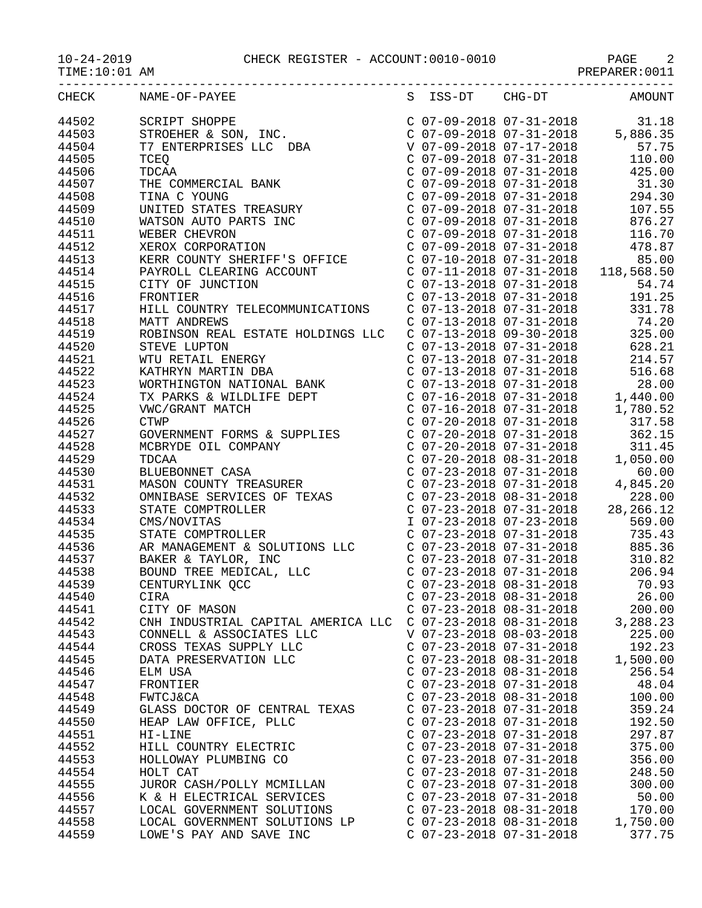## 10-24-2019 CHECK REGISTER - ACCOUNT:0010-0010 PAGE 2

| CHECK | NAME-OF-PAYEE                      |                           |                           | S ISS-DT CHG-DT AMOUNT |
|-------|------------------------------------|---------------------------|---------------------------|------------------------|
|       |                                    |                           |                           |                        |
|       |                                    |                           |                           |                        |
|       |                                    |                           |                           |                        |
|       |                                    |                           |                           |                        |
|       |                                    |                           |                           |                        |
|       |                                    |                           |                           |                        |
|       |                                    |                           |                           |                        |
|       |                                    |                           |                           |                        |
|       |                                    |                           |                           |                        |
|       |                                    |                           |                           |                        |
|       |                                    |                           |                           |                        |
|       |                                    |                           |                           |                        |
|       |                                    |                           |                           |                        |
|       |                                    |                           |                           |                        |
|       |                                    |                           |                           |                        |
|       |                                    |                           |                           |                        |
|       |                                    |                           |                           |                        |
|       |                                    |                           |                           |                        |
|       |                                    |                           |                           |                        |
|       |                                    |                           |                           |                        |
|       |                                    |                           |                           |                        |
|       |                                    |                           |                           |                        |
|       |                                    |                           |                           |                        |
|       |                                    |                           |                           |                        |
|       |                                    |                           |                           |                        |
|       |                                    |                           |                           |                        |
|       |                                    |                           |                           |                        |
|       |                                    |                           |                           |                        |
|       |                                    |                           |                           |                        |
|       |                                    |                           |                           |                        |
|       |                                    |                           |                           |                        |
|       |                                    |                           |                           |                        |
|       |                                    |                           |                           |                        |
|       |                                    |                           |                           |                        |
|       |                                    |                           |                           |                        |
|       |                                    |                           |                           |                        |
|       |                                    |                           |                           |                        |
|       |                                    |                           |                           |                        |
|       |                                    |                           |                           |                        |
|       |                                    |                           | $C$ 07-23-2018 08-31-2018 |                        |
| 44541 | CITY OF MASON                      | $C$ 07-23-2018 08-31-2018 |                           | 200.00                 |
| 44542 | CNH INDUSTRIAL CAPITAL AMERICA LLC | $C$ 07-23-2018 08-31-2018 |                           | 3,288.23               |
| 44543 | CONNELL & ASSOCIATES LLC           | V 07-23-2018 08-03-2018   |                           | 225.00                 |
| 44544 | CROSS TEXAS SUPPLY LLC             | $C$ 07-23-2018 07-31-2018 |                           | 192.23                 |
| 44545 | DATA PRESERVATION LLC              | $C$ 07-23-2018 08-31-2018 |                           | 1,500.00               |
| 44546 | ELM USA                            | $C$ 07-23-2018 08-31-2018 |                           | 256.54                 |
| 44547 | FRONTIER                           | $C$ 07-23-2018 07-31-2018 |                           | 48.04                  |
| 44548 | <b>FWTCJ&amp;CA</b>                | $C$ 07-23-2018 08-31-2018 |                           | 100.00                 |
| 44549 | GLASS DOCTOR OF CENTRAL TEXAS      | $C$ 07-23-2018 07-31-2018 |                           | 359.24                 |
| 44550 | HEAP LAW OFFICE, PLLC              | $C$ 07-23-2018 07-31-2018 |                           | 192.50                 |
| 44551 | $H1-LINE$                          | $C$ 07-23-2018 07-31-2018 |                           | 297.87                 |
| 44552 | HILL COUNTRY ELECTRIC              | $C$ 07-23-2018 07-31-2018 |                           | 375.00                 |
| 44553 | HOLLOWAY PLUMBING CO               | $C$ 07-23-2018 07-31-2018 |                           | 356.00                 |
| 44554 | HOLT CAT                           | $C$ 07-23-2018 07-31-2018 |                           | 248.50                 |
| 44555 | JUROR CASH/POLLY MCMILLAN          | $C$ 07-23-2018 07-31-2018 |                           | 300.00                 |
| 44556 | K & H ELECTRICAL SERVICES          | $C$ 07-23-2018 07-31-2018 |                           | 50.00                  |
| 44557 | LOCAL GOVERNMENT SOLUTIONS         | $C$ 07-23-2018 08-31-2018 |                           | 170.00                 |
| 44558 | LOCAL GOVERNMENT SOLUTIONS LP      | $C$ 07-23-2018 08-31-2018 |                           | 1,750.00               |
| 44559 | LOWE'S PAY AND SAVE INC            |                           | $C$ 07-23-2018 07-31-2018 | 377.75                 |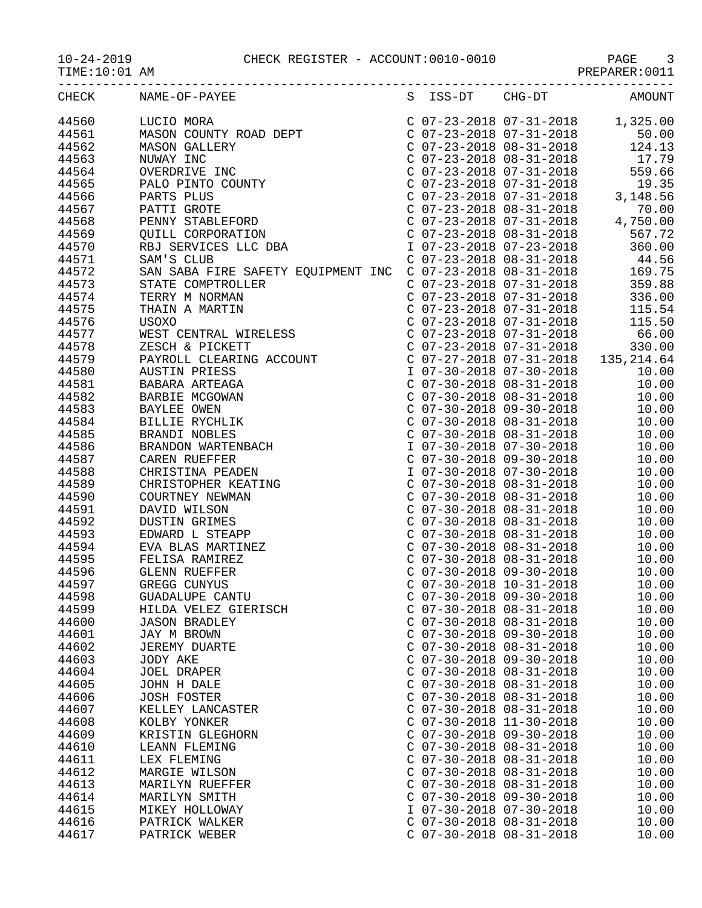## 10-24-2019 CHECK REGISTER - ACCOUNT:0010-0010 PAGE 3

PREPARER:0011

|       | CHECK NAME-OF-PAYEE  |                           |                           | S ISS-DT CHG-DT AMOUNT |
|-------|----------------------|---------------------------|---------------------------|------------------------|
|       |                      |                           |                           |                        |
|       |                      |                           |                           |                        |
|       |                      |                           |                           |                        |
|       |                      |                           |                           |                        |
|       |                      |                           |                           |                        |
|       |                      |                           |                           |                        |
|       |                      |                           |                           |                        |
|       |                      |                           |                           |                        |
|       |                      |                           |                           |                        |
|       |                      |                           |                           |                        |
|       |                      |                           |                           |                        |
|       |                      |                           |                           |                        |
|       |                      |                           |                           |                        |
|       |                      |                           |                           |                        |
|       |                      |                           |                           |                        |
|       |                      |                           |                           |                        |
|       |                      |                           |                           |                        |
|       |                      |                           |                           |                        |
|       |                      |                           |                           |                        |
|       |                      |                           |                           |                        |
|       |                      |                           |                           |                        |
|       |                      |                           |                           |                        |
|       |                      |                           |                           |                        |
|       |                      |                           |                           |                        |
|       |                      |                           |                           |                        |
|       |                      |                           |                           |                        |
|       |                      |                           |                           |                        |
|       |                      |                           |                           |                        |
|       |                      |                           |                           |                        |
|       |                      |                           |                           |                        |
|       |                      |                           |                           |                        |
|       |                      |                           |                           |                        |
|       |                      |                           |                           |                        |
|       |                      |                           |                           |                        |
|       |                      |                           |                           |                        |
|       |                      |                           |                           |                        |
|       |                      |                           |                           |                        |
|       |                      |                           |                           |                        |
|       |                      |                           |                           |                        |
|       |                      |                           |                           |                        |
|       |                      |                           |                           | 10.00                  |
| 44598 | GUADALUPE CANTU      |                           | $C$ 07-30-2018 09-30-2018 | 10.00                  |
| 44599 | HILDA VELEZ GIERISCH | $C$ 07-30-2018 08-31-2018 |                           | 10.00                  |
| 44600 | <b>JASON BRADLEY</b> | $C$ 07-30-2018 08-31-2018 |                           | 10.00                  |
| 44601 | JAY M BROWN          | $C$ 07-30-2018 09-30-2018 |                           | 10.00                  |
| 44602 |                      | $C$ 07-30-2018 08-31-2018 |                           | 10.00                  |
|       | <b>JEREMY DUARTE</b> |                           |                           |                        |
| 44603 | JODY AKE             | $C$ 07-30-2018 09-30-2018 |                           | 10.00                  |
| 44604 | JOEL DRAPER          | $C$ 07-30-2018 08-31-2018 |                           | 10.00                  |
| 44605 | JOHN H DALE          | $C$ 07-30-2018 08-31-2018 |                           | 10.00                  |
| 44606 | <b>JOSH FOSTER</b>   | $C$ 07-30-2018 08-31-2018 |                           | 10.00                  |
| 44607 | KELLEY LANCASTER     | $C$ 07-30-2018 08-31-2018 |                           | 10.00                  |
| 44608 | KOLBY YONKER         | $C$ 07-30-2018 11-30-2018 |                           | 10.00                  |
| 44609 | KRISTIN GLEGHORN     | $C$ 07-30-2018 09-30-2018 |                           | 10.00                  |
| 44610 | LEANN FLEMING        | $C$ 07-30-2018 08-31-2018 |                           | 10.00                  |
| 44611 | LEX FLEMING          | $C$ 07-30-2018 08-31-2018 |                           | 10.00                  |
| 44612 | MARGIE WILSON        | $C$ 07-30-2018 08-31-2018 |                           | 10.00                  |
| 44613 | MARILYN RUEFFER      | $C$ 07-30-2018 08-31-2018 |                           | 10.00                  |
| 44614 | MARILYN SMITH        | $C$ 07-30-2018 09-30-2018 |                           | 10.00                  |
|       |                      |                           |                           |                        |
| 44615 | MIKEY HOLLOWAY       | I 07-30-2018 07-30-2018   |                           | 10.00                  |
| 44616 | PATRICK WALKER       | $C$ 07-30-2018 08-31-2018 |                           | 10.00                  |
| 44617 | PATRICK WEBER        | $C$ 07-30-2018 08-31-2018 |                           | 10.00                  |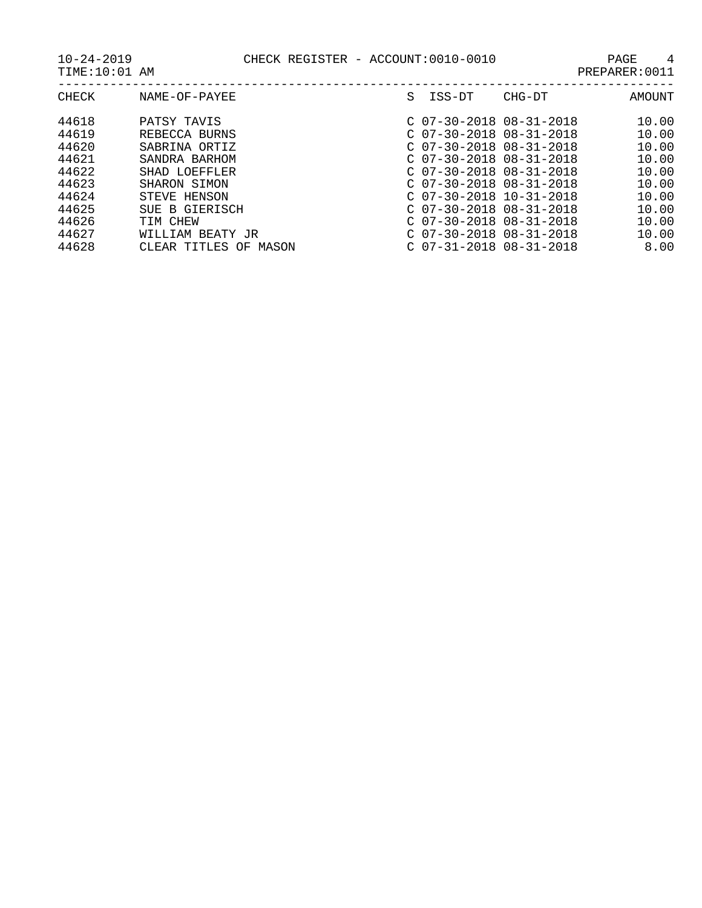| CHECK | NAME-OF-PAYEE            | S. | ISS-DT                    | CHG-DT | AMOUNT |
|-------|--------------------------|----|---------------------------|--------|--------|
| 44618 | PATSY TAVIS              |    | $C$ 07-30-2018 08-31-2018 |        | 10.00  |
| 44619 | REBECCA BURNS            |    | $C$ 07-30-2018 08-31-2018 |        | 10.00  |
| 44620 | SABRINA ORTIZ            |    | $C$ 07-30-2018 08-31-2018 |        | 10.00  |
| 44621 | SANDRA BARHOM            |    | $C$ 07-30-2018 08-31-2018 |        | 10.00  |
| 44622 | SHAD LOEFFLER            |    | $C$ 07-30-2018 08-31-2018 |        | 10.00  |
| 44623 | SHARON SIMON             |    | $C$ 07-30-2018 08-31-2018 |        | 10.00  |
| 44624 | STEVE HENSON             |    | $C$ 07-30-2018 10-31-2018 |        | 10.00  |
| 44625 | SUE B GIERISCH           |    | $C$ 07-30-2018 08-31-2018 |        | 10.00  |
| 44626 | TIM CHEW                 |    | $C$ 07-30-2018 08-31-2018 |        | 10.00  |
| 44627 | WILLIAM BEATY JR         |    | $C$ 07-30-2018 08-31-2018 |        | 10.00  |
| 44628 | CLEAR TITLES OF<br>MASON |    | $C$ 07-31-2018 08-31-2018 |        | 8.00   |
|       |                          |    |                           |        |        |